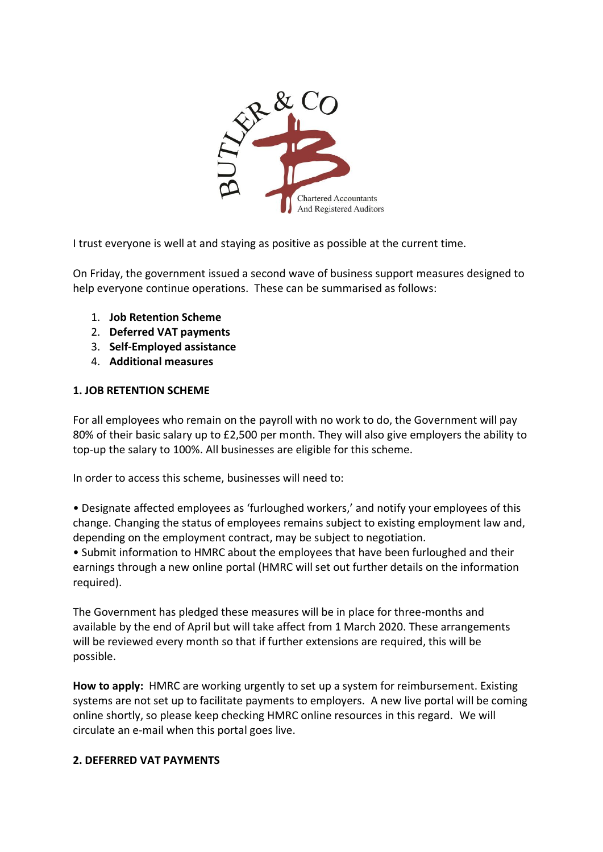

I trust everyone is well at and staying as positive as possible at the current time.

On Friday, the government issued a second wave of business support measures designed to help everyone continue operations. These can be summarised as follows:

- 1. **Job Retention Scheme**
- 2. **Deferred VAT payments**
- 3. **Self-Employed assistance**
- 4. **Additional measures**

## **1. JOB RETENTION SCHEME**

For all employees who remain on the payroll with no work to do, the Government will pay 80% of their basic salary up to £2,500 per month. They will also give employers the ability to top-up the salary to 100%. All businesses are eligible for this scheme.

In order to access this scheme, businesses will need to:

• Designate affected employees as 'furloughed workers,' and notify your employees of this change. Changing the status of employees remains subject to existing employment law and, depending on the employment contract, may be subject to negotiation.

• Submit information to HMRC about the employees that have been furloughed and their earnings through a new online portal (HMRC will set out further details on the information required).

The Government has pledged these measures will be in place for three-months and available by the end of April but will take affect from 1 March 2020. These arrangements will be reviewed every month so that if further extensions are required, this will be possible.

**How to apply:** HMRC are working urgently to set up a system for reimbursement. Existing systems are not set up to facilitate payments to employers. A new live portal will be coming online shortly, so please keep checking HMRC online resources in this regard. We will circulate an e-mail when this portal goes live.

## **2. DEFERRED VAT PAYMENTS**